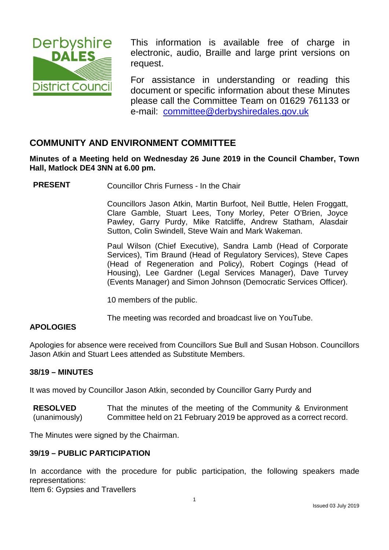

This information is available free of charge in electronic, audio, Braille and large print versions on request.

For assistance in understanding or reading this document or specific information about these Minutes please call the Committee Team on 01629 761133 or e-mail: [committee@derbyshiredales.gov.uk](mailto:brian.evans@derbyshiredales.gov.uk)

# **COMMUNITY AND ENVIRONMENT COMMITTEE**

**Minutes of a Meeting held on Wednesday 26 June 2019 in the Council Chamber, Town Hall, Matlock DE4 3NN at 6.00 pm.**

**PRESENT** Councillor Chris Furness - In the Chair

Councillors Jason Atkin, Martin Burfoot, Neil Buttle, Helen Froggatt, Clare Gamble, Stuart Lees, Tony Morley, Peter O'Brien, Joyce Pawley, Garry Purdy, Mike Ratcliffe, Andrew Statham, Alasdair Sutton, Colin Swindell, Steve Wain and Mark Wakeman.

Paul Wilson (Chief Executive), Sandra Lamb (Head of Corporate Services), Tim Braund (Head of Regulatory Services), Steve Capes (Head of Regeneration and Policy), Robert Cogings (Head of Housing), Lee Gardner (Legal Services Manager), Dave Turvey (Events Manager) and Simon Johnson (Democratic Services Officer).

10 members of the public.

The meeting was recorded and broadcast live on YouTube.

### **APOLOGIES**

Apologies for absence were received from Councillors Sue Bull and Susan Hobson. Councillors Jason Atkin and Stuart Lees attended as Substitute Members.

### **38/19 – MINUTES**

It was moved by Councillor Jason Atkin, seconded by Councillor Garry Purdy and

**RESOLVED** (unanimously) That the minutes of the meeting of the Community & Environment Committee held on 21 February 2019 be approved as a correct record.

The Minutes were signed by the Chairman.

### **39/19 – PUBLIC PARTICIPATION**

In accordance with the procedure for public participation, the following speakers made representations:

Item 6: Gypsies and Travellers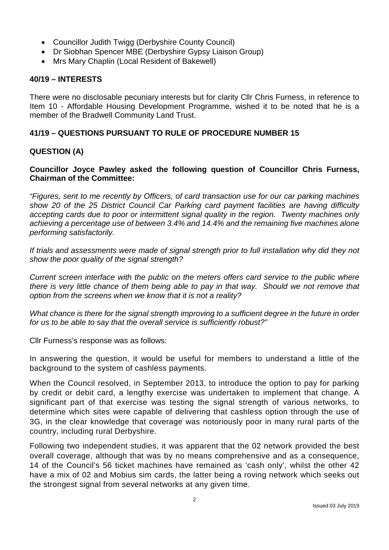- Councillor Judith Twigg (Derbyshire County Council)
- Dr Siobhan Spencer MBE (Derbyshire Gypsy Liaison Group)
- Mrs Mary Chaplin (Local Resident of Bakewell)

#### **40/19 – INTERESTS**

There were no disclosable pecuniary interests but for clarity Cllr Chris Furness, in reference to Item 10 - Affordable Housing Development Programme, wished it to be noted that he is a member of the Bradwell Community Land Trust.

## **41/19 – QUESTIONS PURSUANT TO RULE OF PROCEDURE NUMBER 15**

### **QUESTION (A)**

**Councillor Joyce Pawley asked the following question of Councillor Chris Furness, Chairman of the Committee:**

*"Figures, sent to me recently by Officers, of card transaction use for our car parking machines show 20 of the 25 District Council Car Parking card payment facilities are having difficulty accepting cards due to poor or intermittent signal quality in the region. Twenty machines only achieving a percentage use of between 3.4% and 14.4% and the remaining five machines alone performing satisfactorily.*

*If trials and assessments were made of signal strength prior to full installation why did they not show the poor quality of the signal strength?*

*Current screen interface with the public on the meters offers card service to the public where there is very little chance of them being able to pay in that way. Should we not remove that option from the screens when we know that it is not a reality?* 

*What chance is there for the signal strength improving to a sufficient degree in the future in order for us to be able to say that the overall service is sufficiently robust?"*

Cllr Furness's response was as follows:

In answering the question, it would be useful for members to understand a little of the background to the system of cashless payments.

When the Council resolved, in September 2013, to introduce the option to pay for parking by credit or debit card, a lengthy exercise was undertaken to implement that change. A significant part of that exercise was testing the signal strength of various networks, to determine which sites were capable of delivering that cashless option through the use of 3G, in the clear knowledge that coverage was notoriously poor in many rural parts of the country, including rural Derbyshire.

Following two independent studies, it was apparent that the 02 network provided the best overall coverage, although that was by no means comprehensive and as a consequence, 14 of the Council's 56 ticket machines have remained as 'cash only', whilst the other 42 have a mix of 02 and Mobius sim cards, the latter being a roving network which seeks out the strongest signal from several networks at any given time.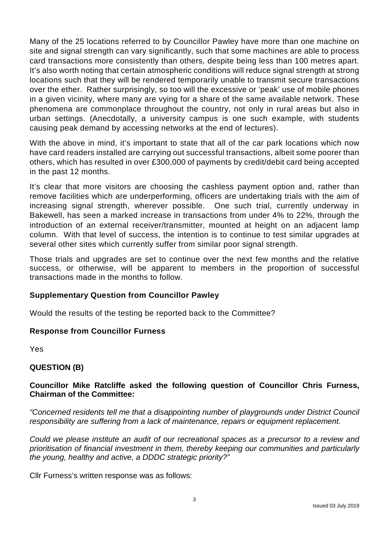Many of the 25 locations referred to by Councillor Pawley have more than one machine on site and signal strength can vary significantly, such that some machines are able to process card transactions more consistently than others, despite being less than 100 metres apart. It's also worth noting that certain atmospheric conditions will reduce signal strength at strong locations such that they will be rendered temporarily unable to transmit secure transactions over the ether. Rather surprisingly, so too will the excessive or 'peak' use of mobile phones in a given vicinity, where many are vying for a share of the same available network. These phenomena are commonplace throughout the country, not only in rural areas but also in urban settings. (Anecdotally, a university campus is one such example, with students causing peak demand by accessing networks at the end of lectures).

With the above in mind, it's important to state that all of the car park locations which now have card readers installed are carrying out successful transactions, albeit some poorer than others, which has resulted in over £300,000 of payments by credit/debit card being accepted in the past 12 months.

It's clear that more visitors are choosing the cashless payment option and, rather than remove facilities which are underperforming, officers are undertaking trials with the aim of increasing signal strength, wherever possible. One such trial, currently underway in Bakewell, has seen a marked increase in transactions from under 4% to 22%, through the introduction of an external receiver/transmitter, mounted at height on an adjacent lamp column. With that level of success, the intention is to continue to test similar upgrades at several other sites which currently suffer from similar poor signal strength.

Those trials and upgrades are set to continue over the next few months and the relative success, or otherwise, will be apparent to members in the proportion of successful transactions made in the months to follow.

## **Supplementary Question from Councillor Pawley**

Would the results of the testing be reported back to the Committee?

### **Response from Councillor Furness**

Yes

### **QUESTION (B)**

## **Councillor Mike Ratcliffe asked the following question of Councillor Chris Furness, Chairman of the Committee:**

*"Concerned residents tell me that a disappointing number of playgrounds under District Council responsibility are suffering from a lack of maintenance, repairs or equipment replacement.* 

*Could we please institute an audit of our recreational spaces as a precursor to a review and prioritisation of financial investment in them, thereby keeping our communities and particularly the young, healthy and active, a DDDC strategic priority?"*

Cllr Furness's written response was as follows: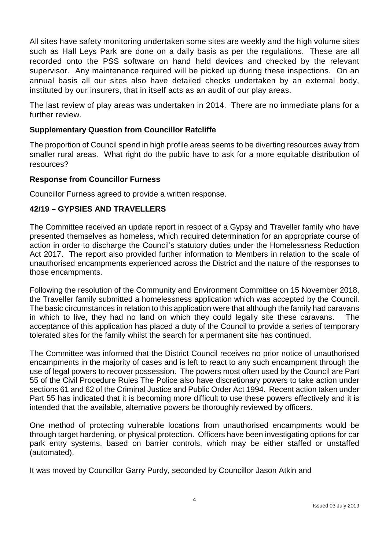All sites have safety monitoring undertaken some sites are weekly and the high volume sites such as Hall Leys Park are done on a daily basis as per the regulations. These are all recorded onto the PSS software on hand held devices and checked by the relevant supervisor. Any maintenance required will be picked up during these inspections. On an annual basis all our sites also have detailed checks undertaken by an external body, instituted by our insurers, that in itself acts as an audit of our play areas.

The last review of play areas was undertaken in 2014. There are no immediate plans for a further review.

## **Supplementary Question from Councillor Ratcliffe**

The proportion of Council spend in high profile areas seems to be diverting resources away from smaller rural areas. What right do the public have to ask for a more equitable distribution of resources?

### **Response from Councillor Furness**

Councillor Furness agreed to provide a written response.

### **42/19 – GYPSIES AND TRAVELLERS**

The Committee received an update report in respect of a Gypsy and Traveller family who have presented themselves as homeless, which required determination for an appropriate course of action in order to discharge the Council's statutory duties under the Homelessness Reduction Act 2017. The report also provided further information to Members in relation to the scale of unauthorised encampments experienced across the District and the nature of the responses to those encampments.

Following the resolution of the Community and Environment Committee on 15 November 2018, the Traveller family submitted a homelessness application which was accepted by the Council. The basic circumstances in relation to this application were that although the family had caravans in which to live, they had no land on which they could legally site these caravans. The acceptance of this application has placed a duty of the Council to provide a series of temporary tolerated sites for the family whilst the search for a permanent site has continued.

The Committee was informed that the District Council receives no prior notice of unauthorised encampments in the majority of cases and is left to react to any such encampment through the use of legal powers to recover possession. The powers most often used by the Council are Part 55 of the Civil Procedure Rules The Police also have discretionary powers to take action under sections 61 and 62 of the Criminal Justice and Public Order Act 1994. Recent action taken under Part 55 has indicated that it is becoming more difficult to use these powers effectively and it is intended that the available, alternative powers be thoroughly reviewed by officers.

One method of protecting vulnerable locations from unauthorised encampments would be through target hardening, or physical protection. Officers have been investigating options for car park entry systems, based on barrier controls, which may be either staffed or unstaffed (automated).

It was moved by Councillor Garry Purdy, seconded by Councillor Jason Atkin and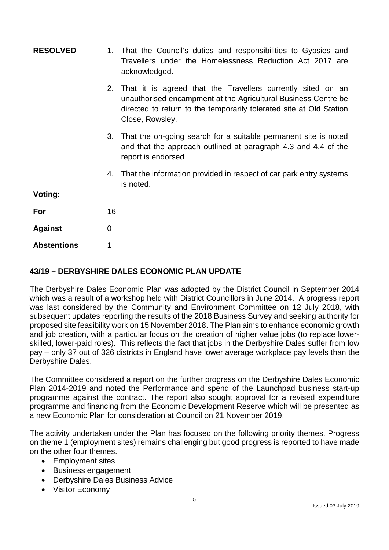| <b>RESOLVED</b>    |    | 1. That the Council's duties and responsibilities to Gypsies and<br>Travellers under the Homelessness Reduction Act 2017 are<br>acknowledged.                                                                              |
|--------------------|----|----------------------------------------------------------------------------------------------------------------------------------------------------------------------------------------------------------------------------|
|                    |    | 2. That it is agreed that the Travellers currently sited on an<br>unauthorised encampment at the Agricultural Business Centre be<br>directed to return to the temporarily tolerated site at Old Station<br>Close, Rowsley. |
|                    | 3. | That the on-going search for a suitable permanent site is noted<br>and that the approach outlined at paragraph 4.3 and 4.4 of the<br>report is endorsed                                                                    |
|                    | 4. | That the information provided in respect of car park entry systems<br>is noted.                                                                                                                                            |
| <b>Voting:</b>     |    |                                                                                                                                                                                                                            |
| For                | 16 |                                                                                                                                                                                                                            |
| <b>Against</b>     | 0  |                                                                                                                                                                                                                            |
| <b>Abstentions</b> | 1  |                                                                                                                                                                                                                            |

## **43/19 – DERBYSHIRE DALES ECONOMIC PLAN UPDATE**

The Derbyshire Dales Economic Plan was adopted by the District Council in September 2014 which was a result of a workshop held with District Councillors in June 2014. A progress report was last considered by the Community and Environment Committee on 12 July 2018, with subsequent updates reporting the results of the 2018 Business Survey and seeking authority for proposed site feasibility work on 15 November 2018. The Plan aims to enhance economic growth and job creation, with a particular focus on the creation of higher value jobs (to replace lowerskilled, lower-paid roles). This reflects the fact that jobs in the Derbyshire Dales suffer from low pay – only 37 out of 326 districts in England have lower average workplace pay levels than the Derbyshire Dales.

The Committee considered a report on the further progress on the Derbyshire Dales Economic Plan 2014-2019 and noted the Performance and spend of the Launchpad business start-up programme against the contract. The report also sought approval for a revised expenditure programme and financing from the Economic Development Reserve which will be presented as a new Economic Plan for consideration at Council on 21 November 2019.

The activity undertaken under the Plan has focused on the following priority themes. Progress on theme 1 (employment sites) remains challenging but good progress is reported to have made on the other four themes.

- Employment sites
- Business engagement
- Derbyshire Dales Business Advice
- Visitor Economy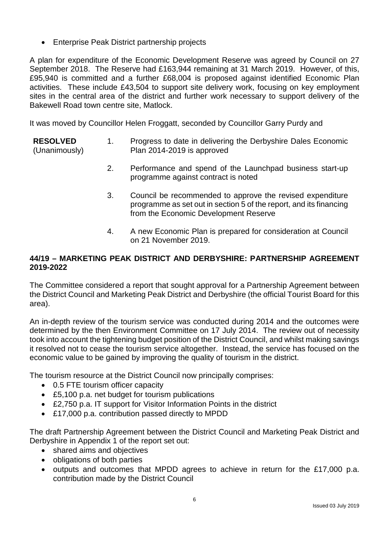• Enterprise Peak District partnership projects

A plan for expenditure of the Economic Development Reserve was agreed by Council on 27 September 2018. The Reserve had £163,944 remaining at 31 March 2019. However, of this, £95,940 is committed and a further £68,004 is proposed against identified Economic Plan activities. These include £43,504 to support site delivery work, focusing on key employment sites in the central area of the district and further work necessary to support delivery of the Bakewell Road town centre site, Matlock.

It was moved by Councillor Helen Froggatt, seconded by Councillor Garry Purdy and

#### **RESOLVED** (Unanimously) 1. Progress to date in delivering the Derbyshire Dales Economic Plan 2014-2019 is approved

- 2. Performance and spend of the Launchpad business start-up programme against contract is noted
- 3. Council be recommended to approve the revised expenditure programme as set out in section 5 of the report, and its financing from the Economic Development Reserve
- 4. A new Economic Plan is prepared for consideration at Council on 21 November 2019.

## **44/19 – MARKETING PEAK DISTRICT AND DERBYSHIRE: PARTNERSHIP AGREEMENT 2019-2022**

The Committee considered a report that sought approval for a Partnership Agreement between the District Council and Marketing Peak District and Derbyshire (the official Tourist Board for this area).

An in-depth review of the tourism service was conducted during 2014 and the outcomes were determined by the then Environment Committee on 17 July 2014. The review out of necessity took into account the tightening budget position of the District Council, and whilst making savings it resolved not to cease the tourism service altogether. Instead, the service has focused on the economic value to be gained by improving the quality of tourism in the district.

The tourism resource at the District Council now principally comprises:

- 0.5 FTE tourism officer capacity
- £5,100 p.a. net budget for tourism publications
- £2,750 p.a. IT support for Visitor Information Points in the district
- £17,000 p.a. contribution passed directly to MPDD

The draft Partnership Agreement between the District Council and Marketing Peak District and Derbyshire in Appendix 1 of the report set out:

- shared aims and objectives
- obligations of both parties
- outputs and outcomes that MPDD agrees to achieve in return for the £17,000 p.a. contribution made by the District Council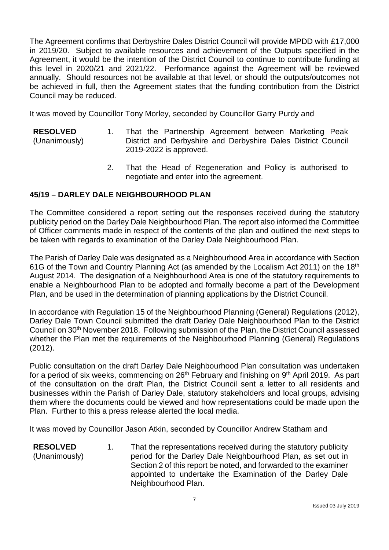The Agreement confirms that Derbyshire Dales District Council will provide MPDD with £17,000 in 2019/20. Subject to available resources and achievement of the Outputs specified in the Agreement, it would be the intention of the District Council to continue to contribute funding at this level in 2020/21 and 2021/22. Performance against the Agreement will be reviewed annually. Should resources not be available at that level, or should the outputs/outcomes not be achieved in full, then the Agreement states that the funding contribution from the District Council may be reduced.

It was moved by Councillor Tony Morley, seconded by Councillor Garry Purdy and

- **RESOLVED** (Unanimously) 1. That the Partnership Agreement between Marketing Peak District and Derbyshire and Derbyshire Dales District Council 2019-2022 is approved.
	- 2. That the Head of Regeneration and Policy is authorised to negotiate and enter into the agreement.

## **45/19 – DARLEY DALE NEIGHBOURHOOD PLAN**

The Committee considered a report setting out the responses received during the statutory publicity period on the Darley Dale Neighbourhood Plan. The report also informed the Committee of Officer comments made in respect of the contents of the plan and outlined the next steps to be taken with regards to examination of the Darley Dale Neighbourhood Plan.

The Parish of Darley Dale was designated as a Neighbourhood Area in accordance with Section 61G of the Town and Country Planning Act (as amended by the Localism Act 2011) on the 18<sup>th</sup> August 2014. The designation of a Neighbourhood Area is one of the statutory requirements to enable a Neighbourhood Plan to be adopted and formally become a part of the Development Plan, and be used in the determination of planning applications by the District Council.

In accordance with Regulation 15 of the Neighbourhood Planning (General) Regulations (2012), Darley Dale Town Council submitted the draft Darley Dale Neighbourhood Plan to the District Council on 30th November 2018. Following submission of the Plan, the District Council assessed whether the Plan met the requirements of the Neighbourhood Planning (General) Regulations (2012).

Public consultation on the draft Darley Dale Neighbourhood Plan consultation was undertaken for a period of six weeks, commencing on 26<sup>th</sup> February and finishing on 9<sup>th</sup> April 2019. As part of the consultation on the draft Plan, the District Council sent a letter to all residents and businesses within the Parish of Darley Dale, statutory stakeholders and local groups, advising them where the documents could be viewed and how representations could be made upon the Plan. Further to this a press release alerted the local media.

It was moved by Councillor Jason Atkin, seconded by Councillor Andrew Statham and

**RESOLVED** (Unanimously) 1. That the representations received during the statutory publicity period for the Darley Dale Neighbourhood Plan, as set out in Section 2 of this report be noted, and forwarded to the examiner appointed to undertake the Examination of the Darley Dale Neighbourhood Plan.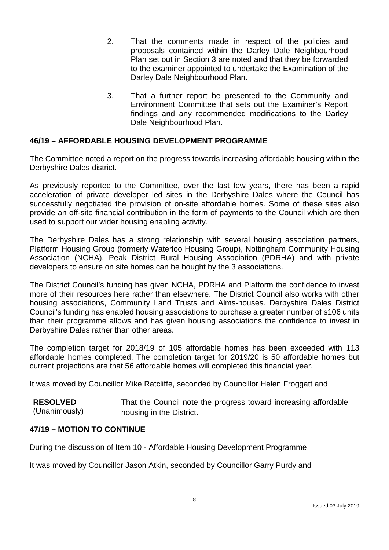- 2. That the comments made in respect of the policies and proposals contained within the Darley Dale Neighbourhood Plan set out in Section 3 are noted and that they be forwarded to the examiner appointed to undertake the Examination of the Darley Dale Neighbourhood Plan.
- 3. That a further report be presented to the Community and Environment Committee that sets out the Examiner's Report findings and any recommended modifications to the Darley Dale Neighbourhood Plan.

## **46/19 – AFFORDABLE HOUSING DEVELOPMENT PROGRAMME**

The Committee noted a report on the progress towards increasing affordable housing within the Derbyshire Dales district.

As previously reported to the Committee, over the last few years, there has been a rapid acceleration of private developer led sites in the Derbyshire Dales where the Council has successfully negotiated the provision of on-site affordable homes. Some of these sites also provide an off-site financial contribution in the form of payments to the Council which are then used to support our wider housing enabling activity.

The Derbyshire Dales has a strong relationship with several housing association partners, Platform Housing Group (formerly Waterloo Housing Group), Nottingham Community Housing Association (NCHA), Peak District Rural Housing Association (PDRHA) and with private developers to ensure on site homes can be bought by the 3 associations.

The District Council's funding has given NCHA, PDRHA and Platform the confidence to invest more of their resources here rather than elsewhere. The District Council also works with other housing associations, Community Land Trusts and Alms-houses. Derbyshire Dales District Council's funding has enabled housing associations to purchase a greater number of s106 units than their programme allows and has given housing associations the confidence to invest in Derbyshire Dales rather than other areas.

The completion target for 2018/19 of 105 affordable homes has been exceeded with 113 affordable homes completed. The completion target for 2019/20 is 50 affordable homes but current projections are that 56 affordable homes will completed this financial year.

It was moved by Councillor Mike Ratcliffe, seconded by Councillor Helen Froggatt and

| <b>RESOLVED</b> | That the Council note the progress toward increasing affordable |
|-----------------|-----------------------------------------------------------------|
| (Unanimously)   | housing in the District.                                        |

### **47/19 – MOTION TO CONTINUE**

During the discussion of Item 10 - Affordable Housing Development Programme

It was moved by Councillor Jason Atkin, seconded by Councillor Garry Purdy and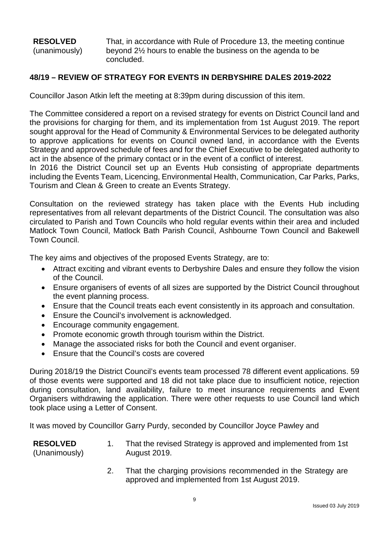#### **RESOLVED** (unanimously)

That, in accordance with Rule of Procedure 13, the meeting continue beyond 2½ hours to enable the business on the agenda to be concluded.

## **48/19 – REVIEW OF STRATEGY FOR EVENTS IN DERBYSHIRE DALES 2019-2022**

Councillor Jason Atkin left the meeting at 8:39pm during discussion of this item.

The Committee considered a report on a revised strategy for events on District Council land and the provisions for charging for them, and its implementation from 1st August 2019. The report sought approval for the Head of Community & Environmental Services to be delegated authority to approve applications for events on Council owned land, in accordance with the Events Strategy and approved schedule of fees and for the Chief Executive to be delegated authority to act in the absence of the primary contact or in the event of a conflict of interest.

In 2016 the District Council set up an Events Hub consisting of appropriate departments including the Events Team, Licencing, Environmental Health, Communication, Car Parks, Parks, Tourism and Clean & Green to create an Events Strategy.

Consultation on the reviewed strategy has taken place with the Events Hub including representatives from all relevant departments of the District Council. The consultation was also circulated to Parish and Town Councils who hold regular events within their area and included Matlock Town Council, Matlock Bath Parish Council, Ashbourne Town Council and Bakewell Town Council.

The key aims and objectives of the proposed Events Strategy, are to:

- Attract exciting and vibrant events to Derbyshire Dales and ensure they follow the vision of the Council.
- Ensure organisers of events of all sizes are supported by the District Council throughout the event planning process.
- Ensure that the Council treats each event consistently in its approach and consultation.
- Ensure the Council's involvement is acknowledged.
- Encourage community engagement.
- Promote economic growth through tourism within the District.
- Manage the associated risks for both the Council and event organiser.
- Ensure that the Council's costs are covered

During 2018/19 the District Council's events team processed 78 different event applications. 59 of those events were supported and 18 did not take place due to insufficient notice, rejection during consultation, land availability, failure to meet insurance requirements and Event Organisers withdrawing the application. There were other requests to use Council land which took place using a Letter of Consent.

It was moved by Councillor Garry Purdy, seconded by Councillor Joyce Pawley and

- **RESOLVED** (Unanimously)
- 1. That the revised Strategy is approved and implemented from 1st August 2019.
- 2. That the charging provisions recommended in the Strategy are approved and implemented from 1st August 2019.